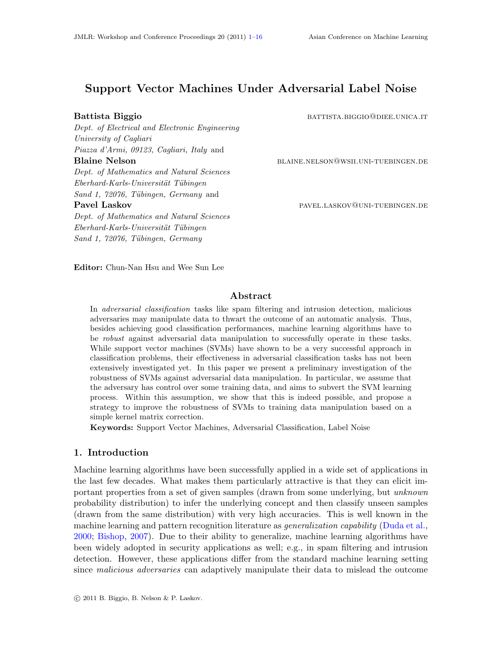# Support Vector Machines Under Adversarial Label Noise

Dept. of Electrical and Electronic Engineering University of Cagliari Piazza d'Armi, 09123, Cagliari, Italy and Blaine Nelson blaine.nelson@wsii.uni-tuebingen.de Dept. of Mathematics and Natural Sciences  $Eberhard-Karls-Universität Tübingen$ Sand 1, 72076, Tübingen, Germany and Pavel Laskov **particle in the particle in the pavel** pavel. LASKOV@UNI-TUEBINGEN.DE

Dept. of Mathematics and Natural Sciences  $Eberhard-Karls-Universität Tübingen$ Sand 1, 72076, Tübingen, Germany

Battista Biggio battista.biggio battista.biggio battista.it battista.it battista battista battista b

Editor: Chun-Nan Hsu and Wee Sun Lee

# Abstract

In adversarial classification tasks like spam filtering and intrusion detection, malicious adversaries may manipulate data to thwart the outcome of an automatic analysis. Thus, besides achieving good classification performances, machine learning algorithms have to be robust against adversarial data manipulation to successfully operate in these tasks. While support vector machines (SVMs) have shown to be a very successful approach in classification problems, their effectiveness in adversarial classification tasks has not been extensively investigated yet. In this paper we present a preliminary investigation of the robustness of SVMs against adversarial data manipulation. In particular, we assume that the adversary has control over some training data, and aims to subvert the SVM learning process. Within this assumption, we show that this is indeed possible, and propose a strategy to improve the robustness of SVMs to training data manipulation based on a simple kernel matrix correction.

Keywords: Support Vector Machines, Adversarial Classification, Label Noise

# 1. Introduction

Machine learning algorithms have been successfully applied in a wide set of applications in the last few decades. What makes them particularly attractive is that they can elicit important properties from a set of given samples (drawn from some underlying, but unknown probability distribution) to infer the underlying concept and then classify unseen samples (drawn from the same distribution) with very high accuracies. This is well known in the machine learning and pattern recognition literature as *generalization capability* [\(Duda et al.,](#page-15-1) [2000;](#page-15-1) [Bishop,](#page-14-0) [2007\)](#page-14-0). Due to their ability to generalize, machine learning algorithms have been widely adopted in security applications as well; e.g., in spam filtering and intrusion detection. However, these applications differ from the standard machine learning setting since *malicious adversaries* can adaptively manipulate their data to mislead the outcome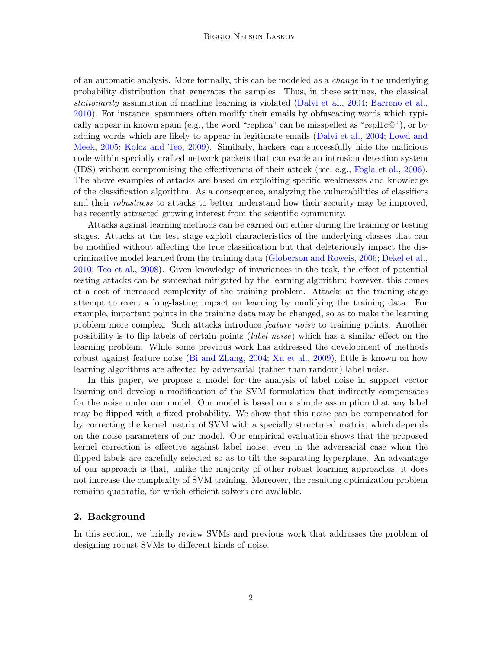of an automatic analysis. More formally, this can be modeled as a change in the underlying probability distribution that generates the samples. Thus, in these settings, the classical stationarity assumption of machine learning is violated [\(Dalvi et al.,](#page-15-2) [2004;](#page-15-2) [Barreno et al.,](#page-14-1) [2010\)](#page-14-1). For instance, spammers often modify their emails by obfuscating words which typically appear in known spam (e.g., the word "replica" can be misspelled as "repl1c $\mathbb{Q}$ "), or by adding words which are likely to appear in legitimate emails [\(Dalvi et al.,](#page-15-2) [2004;](#page-15-2) [Lowd and](#page-15-3) [Meek,](#page-15-3) [2005;](#page-15-3) [Kolcz and Teo,](#page-15-4) [2009\)](#page-15-4). Similarly, hackers can successfully hide the malicious code within specially crafted network packets that can evade an intrusion detection system (IDS) without compromising the effectiveness of their attack (see, e.g., [Fogla et al.,](#page-15-5) [2006\)](#page-15-5). The above examples of attacks are based on exploiting specific weaknesses and knowledge of the classification algorithm. As a consequence, analyzing the vulnerabilities of classifiers and their *robustness* to attacks to better understand how their security may be improved, has recently attracted growing interest from the scientific community.

Attacks against learning methods can be carried out either during the training or testing stages. Attacks at the test stage exploit characteristics of the underlying classes that can be modified without affecting the true classification but that deleteriously impact the discriminative model learned from the training data [\(Globerson and Roweis,](#page-15-6) [2006;](#page-15-6) [Dekel et al.,](#page-15-7) [2010;](#page-15-7) [Teo et al.,](#page-15-8) [2008\)](#page-15-8). Given knowledge of invariances in the task, the effect of potential testing attacks can be somewhat mitigated by the learning algorithm; however, this comes at a cost of increased complexity of the training problem. Attacks at the training stage attempt to exert a long-lasting impact on learning by modifying the training data. For example, important points in the training data may be changed, so as to make the learning problem more complex. Such attacks introduce feature noise to training points. Another possibility is to flip labels of certain points (label noise) which has a similar effect on the learning problem. While some previous work has addressed the development of methods robust against feature noise [\(Bi and Zhang,](#page-14-2) [2004;](#page-14-2) [Xu et al.,](#page-15-9) [2009\)](#page-15-9), little is known on how learning algorithms are affected by adversarial (rather than random) label noise.

In this paper, we propose a model for the analysis of label noise in support vector learning and develop a modification of the SVM formulation that indirectly compensates for the noise under our model. Our model is based on a simple assumption that any label may be flipped with a fixed probability. We show that this noise can be compensated for by correcting the kernel matrix of SVM with a specially structured matrix, which depends on the noise parameters of our model. Our empirical evaluation shows that the proposed kernel correction is effective against label noise, even in the adversarial case when the flipped labels are carefully selected so as to tilt the separating hyperplane. An advantage of our approach is that, unlike the majority of other robust learning approaches, it does not increase the complexity of SVM training. Moreover, the resulting optimization problem remains quadratic, for which efficient solvers are available.

# 2. Background

In this section, we briefly review SVMs and previous work that addresses the problem of designing robust SVMs to different kinds of noise.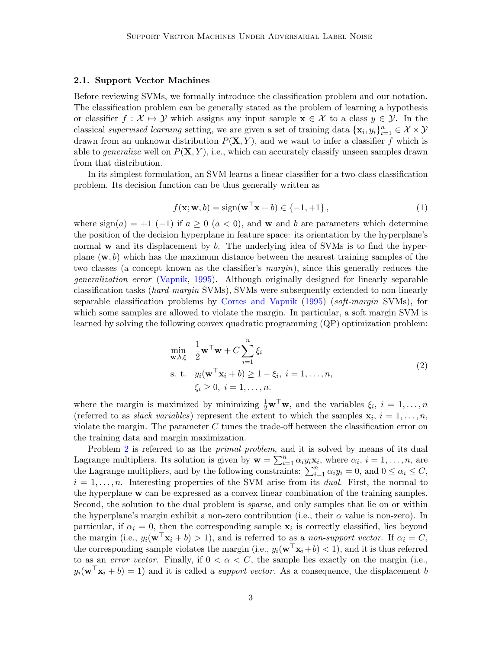# 2.1. Support Vector Machines

Before reviewing SVMs, we formally introduce the classification problem and our notation. The classification problem can be generally stated as the problem of learning a hypothesis or classifier  $f : \mathcal{X} \mapsto \mathcal{Y}$  which assigns any input sample  $\mathbf{x} \in \mathcal{X}$  to a class  $y \in \mathcal{Y}$ . In the classical supervised learning setting, we are given a set of training data  $\{x_i, y_i\}_{i=1}^n \in \mathcal{X} \times \mathcal{Y}$ drawn from an unknown distribution  $P(X, Y)$ , and we want to infer a classifier f which is able to *generalize* well on  $P(X, Y)$ , i.e., which can accurately classify unseen samples drawn from that distribution.

In its simplest formulation, an SVM learns a linear classifier for a two-class classification problem. Its decision function can be thus generally written as

$$
f(\mathbf{x}; \mathbf{w}, b) = \text{sign}(\mathbf{w}^\top \mathbf{x} + b) \in \{-1, +1\},\tag{1}
$$

where  $sign(a) = +1$  (-1) if  $a \ge 0$  ( $a < 0$ ), and w and b are parameters which determine the position of the decision hyperplane in feature space: its orientation by the hyperplane's normal w and its displacement by b. The underlying idea of SVMs is to find the hyperplane  $(w, b)$  which has the maximum distance between the nearest training samples of the two classes (a concept known as the classifier's margin), since this generally reduces the generalization error [\(Vapnik,](#page-15-10) [1995\)](#page-15-10). Although originally designed for linearly separable classification tasks (hard-margin SVMs), SVMs were subsequently extended to non-linearly separable classification problems by [Cortes and Vapnik](#page-15-11) [\(1995\)](#page-15-11) (soft-margin SVMs), for which some samples are allowed to violate the margin. In particular, a soft margin SVM is learned by solving the following convex quadratic programming (QP) optimization problem:

<span id="page-2-0"></span>
$$
\min_{\mathbf{w},b,\xi} \quad \frac{1}{2} \mathbf{w}^\top \mathbf{w} + C \sum_{i=1}^n \xi_i
$$
\n
$$
\text{s. t.} \quad y_i(\mathbf{w}^\top \mathbf{x}_i + b) \ge 1 - \xi_i, \ i = 1, \dots, n,
$$
\n
$$
\xi_i \ge 0, \ i = 1, \dots, n.
$$
\n(2)

where the margin is maximized by minimizing  $\frac{1}{2}\mathbf{w}^{\top}\mathbf{w}$ , and the variables  $\xi_i$ ,  $i = 1, ..., n$ (referred to as *slack variables*) represent the extent to which the samples  $\mathbf{x}_i$ ,  $i = 1, \ldots, n$ , violate the margin. The parameter  $C$  tunes the trade-off between the classification error on the training data and margin maximization.

Problem [2](#page-2-0) is referred to as the *primal problem*, and it is solved by means of its dual Lagrange multipliers. Its solution is given by  $\mathbf{w} = \sum_{i=1}^{n} \alpha_i y_i \mathbf{x}_i$ , where  $\alpha_i$ ,  $i = 1, \ldots, n$ , are the Lagrange multipliers, and by the following constraints:  $\sum_{i=1}^{n} \alpha_i y_i = 0$ , and  $0 \leq \alpha_i \leq C$ ,  $i = 1, \ldots, n$ . Interesting properties of the SVM arise from its *dual*. First, the normal to the hyperplane w can be expressed as a convex linear combination of the training samples. Second, the solution to the dual problem is *sparse*, and only samples that lie on or within the hyperplane's margin exhibit a non-zero contribution (i.e., their  $\alpha$  value is non-zero). In particular, if  $\alpha_i = 0$ , then the corresponding sample  $\mathbf{x}_i$  is correctly classified, lies beyond the margin (i.e.,  $y_i(\mathbf{w}^\top \mathbf{x}_i + b) > 1$ ), and is referred to as a non-support vector. If  $\alpha_i = C$ , the corresponding sample violates the margin (i.e.,  $y_i(\mathbf{w}^T \mathbf{x}_i + b) < 1$ ), and it is thus referred to as an *error vector*. Finally, if  $0 < \alpha < C$ , the sample lies exactly on the margin (i.e.,  $y_i(\mathbf{w}^\top \mathbf{x}_i + b) = 1$  and it is called a *support vector*. As a consequence, the displacement b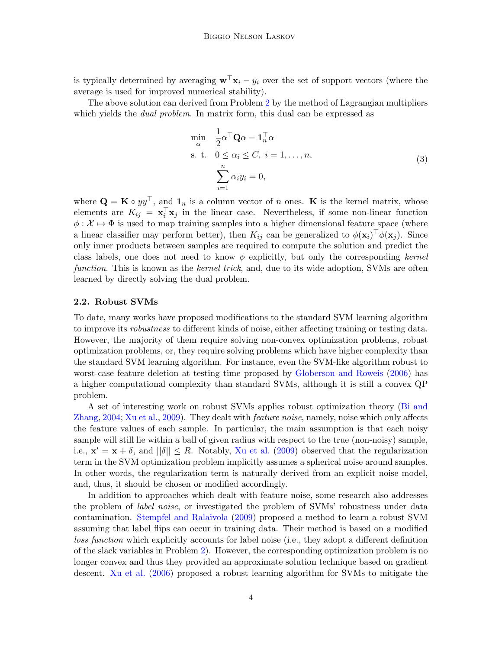is typically determined by averaging  $\mathbf{w}^\top \mathbf{x}_i - y_i$  over the set of support vectors (where the average is used for improved numerical stability).

The above solution can derived from Problem [2](#page-2-0) by the method of Lagrangian multipliers which yields the *dual problem*. In matrix form, this dual can be expressed as

<span id="page-3-0"></span>
$$
\min_{\alpha} \quad \frac{1}{2} \alpha^{\top} \mathbf{Q} \alpha - \mathbf{1}_{n}^{\top} \alpha
$$
\n
$$
\text{s. t.} \quad 0 \le \alpha_{i} \le C, \ i = 1, \dots, n,
$$
\n
$$
\sum_{i=1}^{n} \alpha_{i} y_{i} = 0,
$$
\n
$$
(3)
$$

where  $\mathbf{Q} = \mathbf{K} \circ yy^{\top}$ , and  $\mathbf{1}_n$  is a column vector of n ones.  $\mathbf{K}$  is the kernel matrix, whose elements are  $K_{ij} = \mathbf{x}_i^{\top} \mathbf{x}_j$  in the linear case. Nevertheless, if some non-linear function  $\phi: \mathcal{X} \mapsto \Phi$  is used to map training samples into a higher dimensional feature space (where a linear classifier may perform better), then  $K_{ij}$  can be generalized to  $\phi(\mathbf{x}_i)^\top \phi(\mathbf{x}_j)$ . Since only inner products between samples are required to compute the solution and predict the class labels, one does not need to know  $\phi$  explicitly, but only the corresponding kernel function. This is known as the *kernel trick*, and, due to its wide adoption, SVMs are often learned by directly solving the dual problem.

#### <span id="page-3-1"></span>2.2. Robust SVMs

To date, many works have proposed modifications to the standard SVM learning algorithm to improve its robustness to different kinds of noise, either affecting training or testing data. However, the majority of them require solving non-convex optimization problems, robust optimization problems, or, they require solving problems which have higher complexity than the standard SVM learning algorithm. For instance, even the SVM-like algorithm robust to worst-case feature deletion at testing time proposed by [Globerson and Roweis](#page-15-6) [\(2006\)](#page-15-6) has a higher computational complexity than standard SVMs, although it is still a convex QP problem.

A set of interesting work on robust SVMs applies robust optimization theory [\(Bi and](#page-14-2) [Zhang,](#page-14-2) [2004;](#page-14-2) [Xu et al.,](#page-15-9) [2009\)](#page-15-9). They dealt with *feature noise*, namely, noise which only affects the feature values of each sample. In particular, the main assumption is that each noisy sample will still lie within a ball of given radius with respect to the true (non-noisy) sample, i.e.,  $\mathbf{x}' = \mathbf{x} + \delta$ , and  $||\delta|| \leq R$ . Notably, [Xu et al.](#page-15-9) [\(2009\)](#page-15-9) observed that the regularization term in the SVM optimization problem implicitly assumes a spherical noise around samples. In other words, the regularization term is naturally derived from an explicit noise model, and, thus, it should be chosen or modified accordingly.

In addition to approaches which dealt with feature noise, some research also addresses the problem of *label noise*, or investigated the problem of SVMs' robustness under data contamination. [Stempfel and Ralaivola](#page-15-12) [\(2009\)](#page-15-12) proposed a method to learn a robust SVM assuming that label flips can occur in training data. Their method is based on a modified loss function which explicitly accounts for label noise (i.e., they adopt a different definition of the slack variables in Problem [2\)](#page-2-0). However, the corresponding optimization problem is no longer convex and thus they provided an approximate solution technique based on gradient descent. [Xu et al.](#page-15-13) [\(2006\)](#page-15-13) proposed a robust learning algorithm for SVMs to mitigate the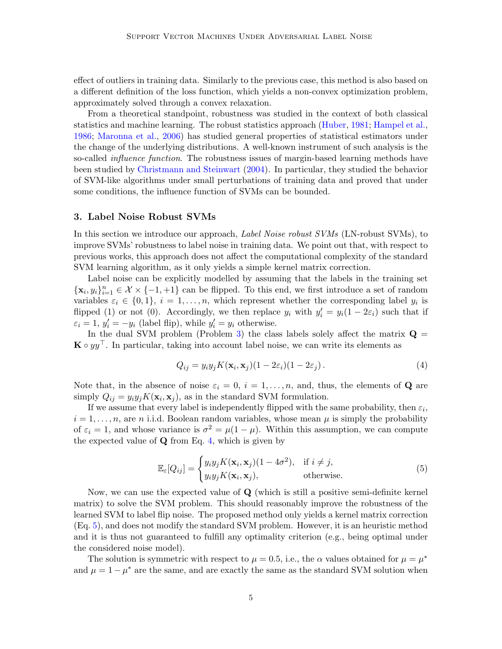effect of outliers in training data. Similarly to the previous case, this method is also based on a different definition of the loss function, which yields a non-convex optimization problem, approximately solved through a convex relaxation.

From a theoretical standpoint, robustness was studied in the context of both classical statistics and machine learning. The robust statistics approach [\(Huber,](#page-15-14) [1981;](#page-15-14) [Hampel et al.,](#page-15-15) [1986;](#page-15-15) [Maronna et al.,](#page-15-16) [2006\)](#page-15-16) has studied general properties of statistical estimators under the change of the underlying distributions. A well-known instrument of such analysis is the so-called *influence function*. The robustness issues of margin-based learning methods have been studied by [Christmann and Steinwart](#page-15-17) [\(2004\)](#page-15-17). In particular, they studied the behavior of SVM-like algorithms under small perturbations of training data and proved that under some conditions, the influence function of SVMs can be bounded.

# <span id="page-4-2"></span>3. Label Noise Robust SVMs

In this section we introduce our approach, *Label Noise robust SVMs* (LN-robust SVMs), to improve SVMs' robustness to label noise in training data. We point out that, with respect to previous works, this approach does not affect the computational complexity of the standard SVM learning algorithm, as it only yields a simple kernel matrix correction.

Label noise can be explicitly modelled by assuming that the labels in the training set  $\{\mathbf x_i, y_i\}_{i=1}^n \in \mathcal X \times \{-1, +1\}$  can be flipped. To this end, we first introduce a set of random variables  $\varepsilon_i \in \{0,1\}, i=1,\ldots,n$ , which represent whether the corresponding label  $y_i$  is flipped (1) or not (0). Accordingly, we then replace  $y_i$  with  $y'_i = y_i(1 - 2\varepsilon_i)$  such that if  $\varepsilon_i = 1, y'_i = -y_i$  (label flip), while  $y'_i = y_i$  otherwise.

In the dual SVM problem (Problem [3\)](#page-3-0) the class labels solely affect the matrix  $\mathbf{Q} =$  $\mathbf{K} \circ yy^\top$ . In particular, taking into account label noise, we can write its elements as

<span id="page-4-0"></span>
$$
Q_{ij} = y_i y_j K(\mathbf{x}_i, \mathbf{x}_j)(1 - 2\varepsilon_i)(1 - 2\varepsilon_j). \tag{4}
$$

Note that, in the absence of noise  $\varepsilon_i = 0, i = 1, \ldots, n$ , and, thus, the elements of **Q** are simply  $Q_{ij} = y_i y_j K(\mathbf{x}_i, \mathbf{x}_j)$ , as in the standard SVM formulation.

If we assume that every label is independently flipped with the same probability, then  $\varepsilon_i$ ,  $i = 1, \ldots, n$ , are n i.i.d. Boolean random variables, whose mean  $\mu$  is simply the probability of  $\varepsilon_i = 1$ , and whose variance is  $\sigma^2 = \mu(1 - \mu)$ . Within this assumption, we can compute the expected value of  $Q$  from Eq. [4,](#page-4-0) which is given by

<span id="page-4-1"></span>
$$
\mathbb{E}_{\varepsilon}[Q_{ij}] = \begin{cases} y_i y_j K(\mathbf{x}_i, \mathbf{x}_j)(1 - 4\sigma^2), & \text{if } i \neq j, \\ y_i y_j K(\mathbf{x}_i, \mathbf{x}_j), & \text{otherwise.} \end{cases}
$$
(5)

Now, we can use the expected value of Q (which is still a positive semi-definite kernel matrix) to solve the SVM problem. This should reasonably improve the robustness of the learned SVM to label flip noise. The proposed method only yields a kernel matrix correction (Eq. [5\)](#page-4-1), and does not modify the standard SVM problem. However, it is an heuristic method and it is thus not guaranteed to fulfill any optimality criterion (e.g., being optimal under the considered noise model).

The solution is symmetric with respect to  $\mu = 0.5$ , i.e., the  $\alpha$  values obtained for  $\mu = \mu^*$ and  $\mu = 1 - \mu^*$  are the same, and are exactly the same as the standard SVM solution when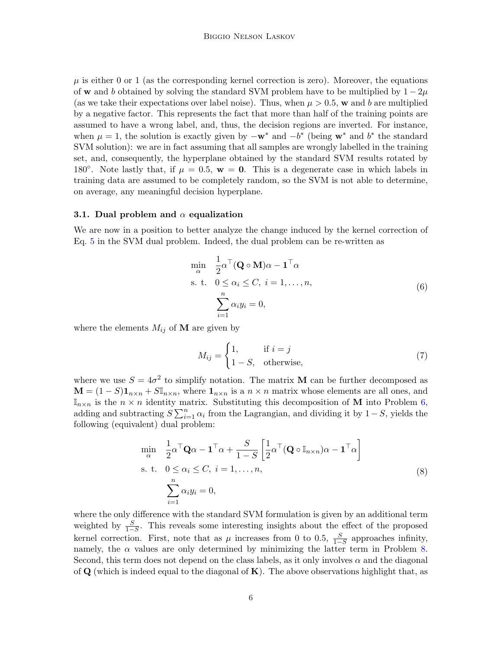$\mu$  is either 0 or 1 (as the corresponding kernel correction is zero). Moreover, the equations of w and b obtained by solving the standard SVM problem have to be multiplied by  $1 - 2\mu$ (as we take their expectations over label noise). Thus, when  $\mu > 0.5$ , w and b are multiplied by a negative factor. This represents the fact that more than half of the training points are assumed to have a wrong label, and, thus, the decision regions are inverted. For instance, when  $\mu = 1$ , the solution is exactly given by  $-\mathbf{w}^*$  and  $-b^*$  (being  $\mathbf{w}^*$  and  $b^*$  the standard SVM solution): we are in fact assuming that all samples are wrongly labelled in the training set, and, consequently, the hyperplane obtained by the standard SVM results rotated by 180<sup>°</sup>. Note lastly that, if  $\mu = 0.5$ ,  $\mathbf{w} = \mathbf{0}$ . This is a degenerate case in which labels in training data are assumed to be completely random, so the SVM is not able to determine, on average, any meaningful decision hyperplane.

# <span id="page-5-2"></span>3.1. Dual problem and  $\alpha$  equalization

We are now in a position to better analyze the change induced by the kernel correction of Eq. [5](#page-4-1) in the SVM dual problem. Indeed, the dual problem can be re-written as

<span id="page-5-0"></span>
$$
\min_{\alpha} \quad \frac{1}{2} \alpha^{\top} (\mathbf{Q} \circ \mathbf{M}) \alpha - \mathbf{1}^{\top} \alpha
$$
\n
$$
\text{s. t.} \quad 0 \le \alpha_i \le C, \ i = 1, \dots, n,
$$
\n
$$
\sum_{i=1}^{n} \alpha_i y_i = 0,
$$
\n
$$
(6)
$$

where the elements  $M_{ij}$  of **M** are given by

$$
M_{ij} = \begin{cases} 1, & \text{if } i = j \\ 1 - S, & \text{otherwise,} \end{cases} \tag{7}
$$

where we use  $S = 4\sigma^2$  to simplify notation. The matrix **M** can be further decomposed as  $\mathbf{M} = (1 - S)\mathbf{1}_{n \times n} + S\mathbb{I}_{n \times n}$ , where  $\mathbf{1}_{n \times n}$  is a  $n \times n$  matrix whose elements are all ones, and  $\mathbb{I}_{n\times n}$  is the  $n \times n$  identity matrix. Substituting this decomposition of **M** into Problem [6,](#page-5-0) adding and subtracting  $S \sum_{i=1}^{n} \alpha_i$  from the Lagrangian, and dividing it by 1 – S, yields the following (equivalent) dual problem:

<span id="page-5-1"></span>
$$
\min_{\alpha} \quad \frac{1}{2} \alpha^{\top} \mathbf{Q} \alpha - \mathbf{1}^{\top} \alpha + \frac{S}{1 - S} \left[ \frac{1}{2} \alpha^{\top} (\mathbf{Q} \circ \mathbb{I}_{n \times n}) \alpha - \mathbf{1}^{\top} \alpha \right]
$$
\n
$$
\text{s. t.} \quad 0 \le \alpha_i \le C, \ i = 1, \dots, n,
$$
\n
$$
\sum_{i=1}^{n} \alpha_i y_i = 0,
$$
\n
$$
(8)
$$

where the only difference with the standard SVM formulation is given by an additional term weighted by  $\frac{S}{1-S}$ . This reveals some interesting insights about the effect of the proposed kernel correction. First, note that as  $\mu$  increases from 0 to 0.5,  $\frac{S}{1-S}$  approaches infinity, namely, the  $\alpha$  values are only determined by minimizing the latter term in Problem [8.](#page-5-1) Second, this term does not depend on the class labels, as it only involves  $\alpha$  and the diagonal of  $\bf{Q}$  (which is indeed equal to the diagonal of  $\bf{K}$ ). The above observations highlight that, as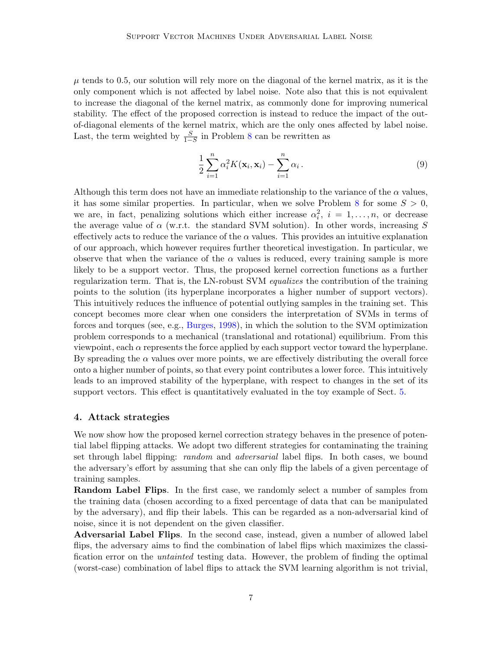$\mu$  tends to 0.5, our solution will rely more on the diagonal of the kernel matrix, as it is the only component which is not affected by label noise. Note also that this is not equivalent to increase the diagonal of the kernel matrix, as commonly done for improving numerical stability. The effect of the proposed correction is instead to reduce the impact of the outof-diagonal elements of the kernel matrix, which are the only ones affected by label noise. Last, the term weighted by  $\frac{S}{1-S}$  in Problem [8](#page-5-1) can be rewritten as

$$
\frac{1}{2}\sum_{i=1}^{n}\alpha_i^2 K(\mathbf{x}_i, \mathbf{x}_i) - \sum_{i=1}^{n}\alpha_i.
$$
\n(9)

Although this term does not have an immediate relationship to the variance of the  $\alpha$  values, it has some similar properties. In particular, when we solve Problem [8](#page-5-1) for some  $S > 0$ , we are, in fact, penalizing solutions which either increase  $\alpha_i^2$ ,  $i = 1, \ldots, n$ , or decrease the average value of  $\alpha$  (w.r.t. the standard SVM solution). In other words, increasing S effectively acts to reduce the variance of the  $\alpha$  values. This provides an intuitive explanation of our approach, which however requires further theoretical investigation. In particular, we observe that when the variance of the  $\alpha$  values is reduced, every training sample is more likely to be a support vector. Thus, the proposed kernel correction functions as a further regularization term. That is, the LN-robust SVM equalizes the contribution of the training points to the solution (its hyperplane incorporates a higher number of support vectors). This intuitively reduces the influence of potential outlying samples in the training set. This concept becomes more clear when one considers the interpretation of SVMs in terms of forces and torques (see, e.g., [Burges,](#page-14-3) [1998\)](#page-14-3), in which the solution to the SVM optimization problem corresponds to a mechanical (translational and rotational) equilibrium. From this viewpoint, each  $\alpha$  represents the force applied by each support vector toward the hyperplane. By spreading the  $\alpha$  values over more points, we are effectively distributing the overall force onto a higher number of points, so that every point contributes a lower force. This intuitively leads to an improved stability of the hyperplane, with respect to changes in the set of its support vectors. This effect is quantitatively evaluated in the toy example of Sect. [5.](#page-7-0)

#### <span id="page-6-0"></span>4. Attack strategies

We now show how the proposed kernel correction strategy behaves in the presence of potential label flipping attacks. We adopt two different strategies for contaminating the training set through label flipping: *random* and *adversarial* label flips. In both cases, we bound the adversary's effort by assuming that she can only flip the labels of a given percentage of training samples.

Random Label Flips. In the first case, we randomly select a number of samples from the training data (chosen according to a fixed percentage of data that can be manipulated by the adversary), and flip their labels. This can be regarded as a non-adversarial kind of noise, since it is not dependent on the given classifier.

Adversarial Label Flips. In the second case, instead, given a number of allowed label flips, the adversary aims to find the combination of label flips which maximizes the classification error on the untainted testing data. However, the problem of finding the optimal (worst-case) combination of label flips to attack the SVM learning algorithm is not trivial,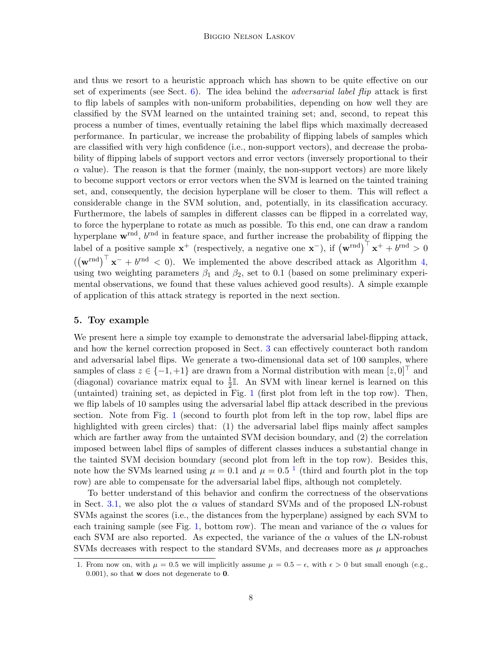and thus we resort to a heuristic approach which has shown to be quite effective on our set of experiments (see Sect.  $6$ ). The idea behind the *adversarial label flip* attack is first to flip labels of samples with non-uniform probabilities, depending on how well they are classified by the SVM learned on the untainted training set; and, second, to repeat this process a number of times, eventually retaining the label flips which maximally decreased performance. In particular, we increase the probability of flipping labels of samples which are classified with very high confidence (i.e., non-support vectors), and decrease the probability of flipping labels of support vectors and error vectors (inversely proportional to their  $\alpha$  value). The reason is that the former (mainly, the non-support vectors) are more likely to become support vectors or error vectors when the SVM is learned on the tainted training set, and, consequently, the decision hyperplane will be closer to them. This will reflect a considerable change in the SVM solution, and, potentially, in its classification accuracy. Furthermore, the labels of samples in different classes can be flipped in a correlated way, to force the hyperplane to rotate as much as possible. To this end, one can draw a random hyperplane  $\mathbf{w}^{\text{rnd}}$ ,  $b^{\text{rnd}}$  in feature space, and further increase the probability of flipping the label of a positive sample  $\mathbf{x}^+$  (respectively, a negative one  $\mathbf{x}^-$ ), if  $(\mathbf{w}^{\text{rnd}})^{\top} \mathbf{x}^+ + b^{\text{rnd}} > 0$  $((\mathbf{w}^{\text{rnd}})^{\top} \mathbf{x}^- + b^{\text{rnd}} < 0)$ . We implemented the above described attack as Algorithm [4,](#page-6-0) using two weighting parameters  $\beta_1$  and  $\beta_2$ , set to 0.1 (based on some preliminary experimental observations, we found that these values achieved good results). A simple example of application of this attack strategy is reported in the next section.

# <span id="page-7-0"></span>5. Toy example

We present here a simple toy example to demonstrate the adversarial label-flipping attack, and how the kernel correction proposed in Sect. [3](#page-4-2) can effectively counteract both random and adversarial label flips. We generate a two-dimensional data set of 100 samples, where samples of class  $z \in \{-1, +1\}$  are drawn from a Normal distribution with mean  $[z, 0]^\top$  and (diagonal) covariance matrix equal to  $\frac{1}{2}$ . An SVM with linear kernel is learned on this (untainted) training set, as depicted in Fig. [1](#page-9-1) (first plot from left in the top row). Then, we flip labels of 10 samples using the adversarial label flip attack described in the previous section. Note from Fig. [1](#page-9-1) (second to fourth plot from left in the top row, label flips are highlighted with green circles) that: (1) the adversarial label flips mainly affect samples which are farther away from the untainted SVM decision boundary, and  $(2)$  the correlation imposed between label flips of samples of different classes induces a substantial change in the tainted SVM decision boundary (second plot from left in the top row). Besides this, note how the SVMs learned using  $\mu = 0.1$  $\mu = 0.1$  and  $\mu = 0.5^{-1}$  (third and fourth plot in the top row) are able to compensate for the adversarial label flips, although not completely.

To better understand of this behavior and confirm the correctness of the observations in Sect. [3.1,](#page-5-2) we also plot the  $\alpha$  values of standard SVMs and of the proposed LN-robust SVMs against the scores (i.e., the distances from the hyperplane) assigned by each SVM to each training sample (see Fig. [1,](#page-9-1) bottom row). The mean and variance of the  $\alpha$  values for each SVM are also reported. As expected, the variance of the  $\alpha$  values of the LN-robust SVMs decreases with respect to the standard SVMs, and decreases more as  $\mu$  approaches

<span id="page-7-1"></span><sup>1.</sup> From now on, with  $\mu = 0.5$  we will implicitly assume  $\mu = 0.5 - \epsilon$ , with  $\epsilon > 0$  but small enough (e.g., 0.001), so that w does not degenerate to 0.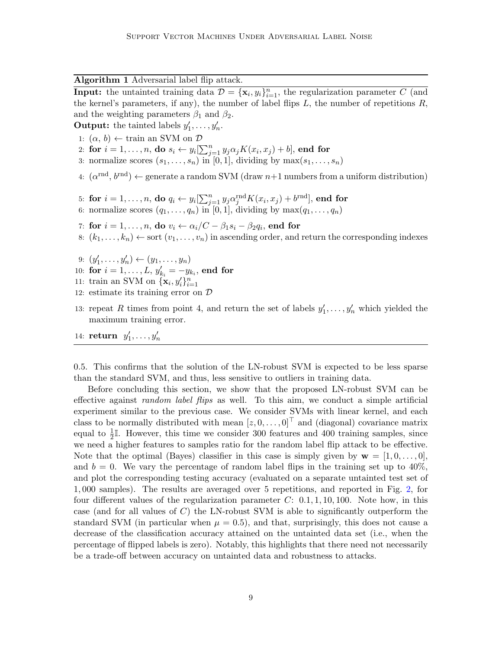Algorithm 1 Adversarial label flip attack.

**Input:** the untainted training data  $\mathcal{D} = {\mathbf{x}_i, y_i}_{i=1}^n$ , the regularization parameter C (and the kernel's parameters, if any), the number of label flips  $L$ , the number of repetitions  $R$ , and the weighting parameters  $\beta_1$  and  $\beta_2$ .

**Output:** the tainted labels  $y'_1, \ldots, y'_n$ .

- 1:  $(\alpha, b) \leftarrow \text{train}$  an SVM on  $D$
- 2: for  $i = 1, \ldots, n$ , do  $s_i \leftarrow y_i[\sum_{j=1}^n y_j \alpha_j K(x_i, x_j) + b]$ , end for
- 3: normalize scores  $(s_1, \ldots, s_n)$  in [0, 1], dividing by  $\max(s_1, \ldots, s_n)$
- 4:  $(\alpha^{\text{rnd}}, b^{\text{rnd}}) \leftarrow$  generate a random SVM (draw  $n+1$  numbers from a uniform distribution)
- 5: for  $i=1,\ldots,n,$  do  $q_i \leftarrow y_i[\sum_{j=1}^n y_j \alpha^{\mathrm{rnd}}_j K(x_i, x_j) + b^{\mathrm{rnd}}],$  end for
- 6: normalize scores  $(q_1, \ldots, q_n)$  in [0, 1], dividing by  $\max(q_1, \ldots, q_n)$
- 7: for  $i=1,\ldots,n,$  do  $v_i \leftarrow \alpha_i/C \beta_1 s_i \beta_2 q_i,$  end for
- 8:  $(k_1, \ldots, k_n) \leftarrow$  sort  $(v_1, \ldots, v_n)$  in ascending order, and return the corresponding indexes
- 9:  $(y'_1, \ldots, y'_n) \leftarrow (y_1, \ldots, y_n)$
- 10: for  $i = 1, ..., L$ ,  $y'_{k_i} = -y_{k_i}$ , end for
- 11: train an SVM on  $\{\mathbf{x}_i, y_i'\}_{i=1}^n$
- 12: estimate its training error on D
- 13: repeat R times from point 4, and return the set of labels  $y'_1, \ldots, y'_n$  which yielded the maximum training error.
- 14: return  $y'_1, \ldots, y'_n$

0.5. This confirms that the solution of the LN-robust SVM is expected to be less sparse than the standard SVM, and thus, less sensitive to outliers in training data.

Before concluding this section, we show that the proposed LN-robust SVM can be effective against *random label flips* as well. To this aim, we conduct a simple artificial experiment similar to the previous case. We consider SVMs with linear kernel, and each class to be normally distributed with mean  $[z, 0, \ldots, 0]^T$  and (diagonal) covariance matrix equal to  $\frac{1}{2}$ . However, this time we consider 300 features and 400 training samples, since we need a higher features to samples ratio for the random label flip attack to be effective. Note that the optimal (Bayes) classifier in this case is simply given by  $\mathbf{w} = [1, 0, \ldots, 0],$ and  $b = 0$ . We vary the percentage of random label flips in the training set up to  $40\%$ , and plot the corresponding testing accuracy (evaluated on a separate untainted test set of 1, 000 samples). The results are averaged over 5 repetitions, and reported in Fig. [2,](#page-9-2) for four different values of the regularization parameter  $C: [0.1, 1, 10, 100]$ . Note how, in this case (and for all values of  $C$ ) the LN-robust SVM is able to significantly outperform the standard SVM (in particular when  $\mu = 0.5$ ), and that, surprisingly, this does not cause a decrease of the classification accuracy attained on the untainted data set (i.e., when the percentage of flipped labels is zero). Notably, this highlights that there need not necessarily be a trade-off between accuracy on untainted data and robustness to attacks.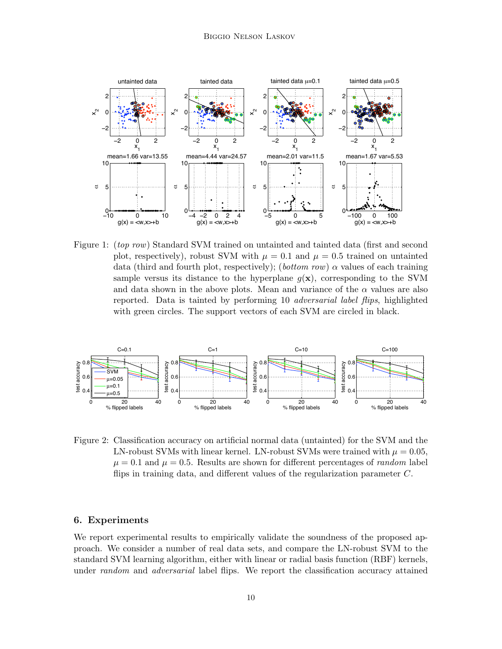

<span id="page-9-1"></span>Figure 1: *(top row)* Standard SVM trained on untainted and tainted data *(first and second*) plot, respectively), robust SVM with  $\mu = 0.1$  and  $\mu = 0.5$  trained on untainted data (third and fourth plot, respectively); (bottom row)  $\alpha$  values of each training sample versus its distance to the hyperplane  $q(x)$ , corresponding to the SVM and data shown in the above plots. Mean and variance of the  $\alpha$  values are also reported. Data is tainted by performing 10 adversarial label flips, highlighted with green circles. The support vectors of each SVM are circled in black.



<span id="page-9-2"></span>Figure 2: Classification accuracy on artificial normal data (untainted) for the SVM and the LN-robust SVMs with linear kernel. LN-robust SVMs were trained with  $\mu = 0.05$ .  $\mu = 0.1$  and  $\mu = 0.5$ . Results are shown for different percentages of *random* label flips in training data, and different values of the regularization parameter  $C$ .

## <span id="page-9-0"></span>6. Experiments

We report experimental results to empirically validate the soundness of the proposed approach. We consider a number of real data sets, and compare the LN-robust SVM to the standard SVM learning algorithm, either with linear or radial basis function (RBF) kernels, under random and adversarial label flips. We report the classification accuracy attained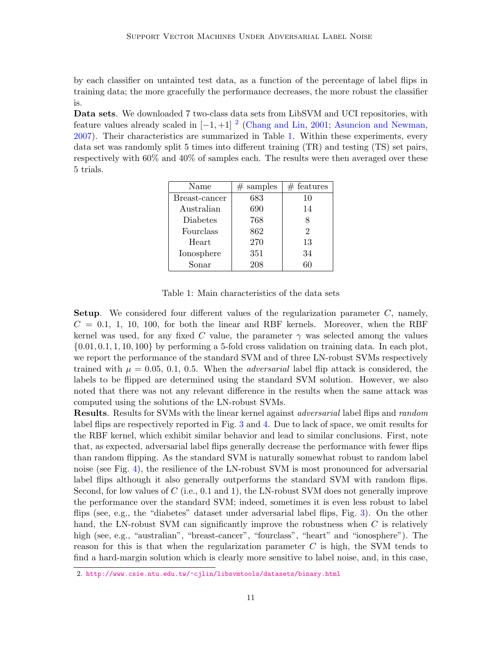by each classifier on untainted test data, as a function of the percentage of label flips in training data; the more gracefully the performance decreases, the more robust the classifier is.

Data sets. We downloaded 7 two-class data sets from LibSVM and UCI repositories, with feature values already scaled in  $[-1, +1]$ <sup>[2](#page-10-0)</sup> [\(Chang and Lin,](#page-14-4) [2001;](#page-14-4) [Asuncion and Newman,](#page-14-5) [2007\)](#page-14-5). Their characteristics are summarized in Table [1.](#page-10-1) Within these experiments, every data set was randomly split 5 times into different training (TR) and testing (TS) set pairs, respectively with 60% and 40% of samples each. The results were then averaged over these 5 trials.

| Name          | samples<br># | $#$ features   |
|---------------|--------------|----------------|
| Breast-cancer | 683          | 10             |
| Australian    | 690          | 14             |
| Diabetes      | 768          |                |
| Fourclass     | 862          | $\overline{2}$ |
| Heart         | 270          | 13             |
| Ionosphere    | 351          | 34             |
| Sonar         | 208          | 60             |

Table 1: Main characteristics of the data sets

<span id="page-10-1"></span>**Setup.** We considered four different values of the regularization parameter  $C$ , namely,  $C = 0.1, 1, 10, 100$ , for both the linear and RBF kernels. Moreover, when the RBF kernel was used, for any fixed C value, the parameter  $\gamma$  was selected among the values  $\{0.01, 0.1, 1, 10, 100\}$  by performing a 5-fold cross validation on training data. In each plot, we report the performance of the standard SVM and of three LN-robust SVMs respectively trained with  $\mu = 0.05, 0.1, 0.5$ . When the *adversarial* label flip attack is considered, the labels to be flipped are determined using the standard SVM solution. However, we also noted that there was not any relevant difference in the results when the same attack was computed using the solutions of the LN-robust SVMs.

**Results.** Results for SVMs with the linear kernel against *adversarial* label flips and *random* label flips are respectively reported in Fig. [3](#page-12-0) and [4.](#page-13-0) Due to lack of space, we omit results for the RBF kernel, which exhibit similar behavior and lead to similar conclusions. First, note that, as expected, adversarial label flips generally decrease the performance with fewer flips than random flipping. As the standard SVM is naturally somewhat robust to random label noise (see Fig. [4\)](#page-13-0), the resilience of the LN-robust SVM is most pronounced for adversarial label flips although it also generally outperforms the standard SVM with random flips. Second, for low values of  $C$  (i.e., 0.1 and 1), the LN-robust SVM does not generally improve the performance over the standard SVM; indeed, sometimes it is even less robust to label flips (see, e.g., the "diabetes" dataset under adversarial label flips, Fig. [3\)](#page-12-0). On the other hand, the LN-robust SVM can significantly improve the robustness when C is relatively high (see, e.g., "australian", "breast-cancer", "fourclass", "heart" and "ionosphere"). The reason for this is that when the regularization parameter  $C$  is high, the SVM tends to find a hard-margin solution which is clearly more sensitive to label noise, and, in this case,

<span id="page-10-0"></span><sup>2.</sup> <http://www.csie.ntu.edu.tw/~cjlin/libsvmtools/datasets/binary.html>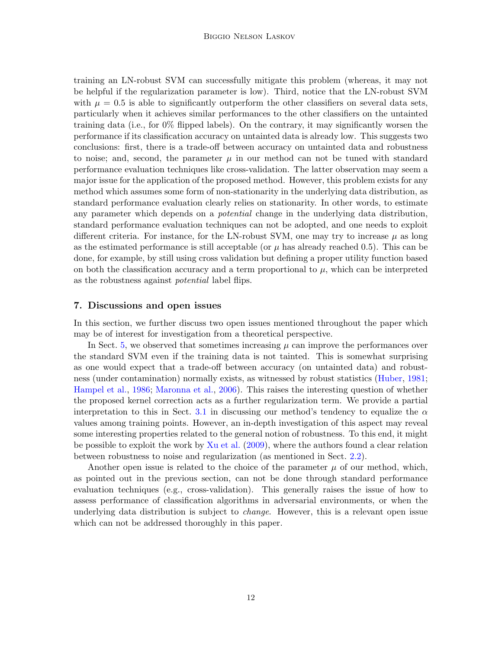training an LN-robust SVM can successfully mitigate this problem (whereas, it may not be helpful if the regularization parameter is low). Third, notice that the LN-robust SVM with  $\mu = 0.5$  is able to significantly outperform the other classifiers on several data sets, particularly when it achieves similar performances to the other classifiers on the untainted training data (i.e., for 0% flipped labels). On the contrary, it may significantly worsen the performance if its classification accuracy on untainted data is already low. This suggests two conclusions: first, there is a trade-off between accuracy on untainted data and robustness to noise; and, second, the parameter  $\mu$  in our method can not be tuned with standard performance evaluation techniques like cross-validation. The latter observation may seem a major issue for the application of the proposed method. However, this problem exists for any method which assumes some form of non-stationarity in the underlying data distribution, as standard performance evaluation clearly relies on stationarity. In other words, to estimate any parameter which depends on a *potential* change in the underlying data distribution, standard performance evaluation techniques can not be adopted, and one needs to exploit different criteria. For instance, for the LN-robust SVM, one may try to increase  $\mu$  as long as the estimated performance is still acceptable (or  $\mu$  has already reached 0.5). This can be done, for example, by still using cross validation but defining a proper utility function based on both the classification accuracy and a term proportional to  $\mu$ , which can be interpreted as the robustness against potential label flips.

# 7. Discussions and open issues

In this section, we further discuss two open issues mentioned throughout the paper which may be of interest for investigation from a theoretical perspective.

In Sect. [5,](#page-7-0) we observed that sometimes increasing  $\mu$  can improve the performances over the standard SVM even if the training data is not tainted. This is somewhat surprising as one would expect that a trade-off between accuracy (on untainted data) and robustness (under contamination) normally exists, as witnessed by robust statistics [\(Huber,](#page-15-14) [1981;](#page-15-14) [Hampel et al.,](#page-15-15) [1986;](#page-15-15) [Maronna et al.,](#page-15-16) [2006\)](#page-15-16). This raises the interesting question of whether the proposed kernel correction acts as a further regularization term. We provide a partial interpretation to this in Sect. [3.1](#page-5-2) in discussing our method's tendency to equalize the  $\alpha$ values among training points. However, an in-depth investigation of this aspect may reveal some interesting properties related to the general notion of robustness. To this end, it might be possible to exploit the work by [Xu et al.](#page-15-9) [\(2009\)](#page-15-9), where the authors found a clear relation between robustness to noise and regularization (as mentioned in Sect. [2.2\)](#page-3-1).

Another open issue is related to the choice of the parameter  $\mu$  of our method, which, as pointed out in the previous section, can not be done through standard performance evaluation techniques (e.g., cross-validation). This generally raises the issue of how to assess performance of classification algorithms in adversarial environments, or when the underlying data distribution is subject to *change*. However, this is a relevant open issue which can not be addressed thoroughly in this paper.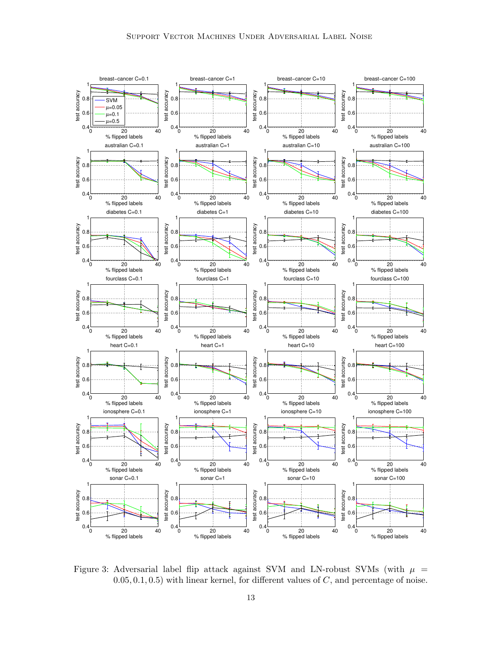

<span id="page-12-0"></span>Figure 3: Adversarial label flip attack against SVM and LN-robust SVMs (with  $\mu$  =  $(0.05, 0.1, 0.5)$  with linear kernel, for different values of  $C$ , and percentage of noise.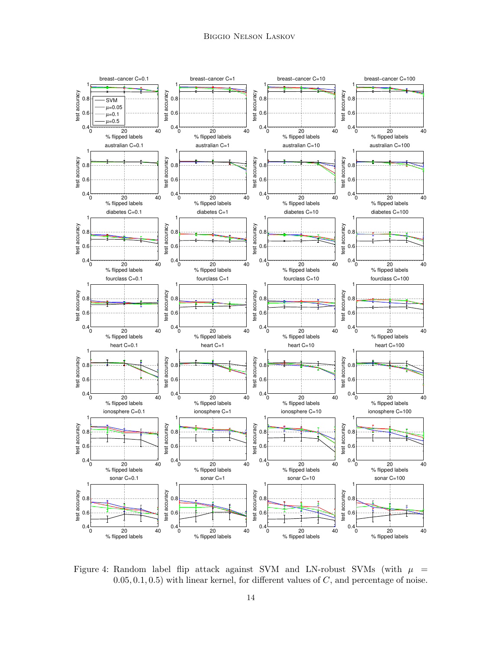

<span id="page-13-0"></span>Figure 4: Random label flip attack against SVM and LN-robust SVMs (with  $\mu$  =  $(0.05, 0.1, 0.5)$  with linear kernel, for different values of C, and percentage of noise.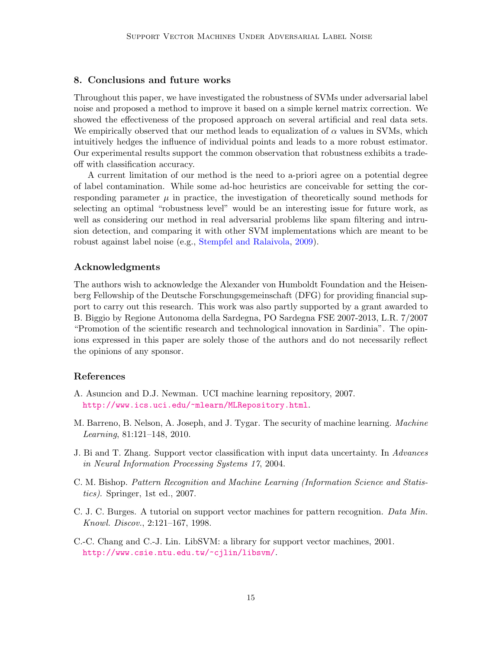# 8. Conclusions and future works

Throughout this paper, we have investigated the robustness of SVMs under adversarial label noise and proposed a method to improve it based on a simple kernel matrix correction. We showed the effectiveness of the proposed approach on several artificial and real data sets. We empirically observed that our method leads to equalization of  $\alpha$  values in SVMs, which intuitively hedges the influence of individual points and leads to a more robust estimator. Our experimental results support the common observation that robustness exhibits a tradeoff with classification accuracy.

A current limitation of our method is the need to a-priori agree on a potential degree of label contamination. While some ad-hoc heuristics are conceivable for setting the corresponding parameter  $\mu$  in practice, the investigation of theoretically sound methods for selecting an optimal "robustness level" would be an interesting issue for future work, as well as considering our method in real adversarial problems like spam filtering and intrusion detection, and comparing it with other SVM implementations which are meant to be robust against label noise (e.g., [Stempfel and Ralaivola,](#page-15-12) [2009\)](#page-15-12).

# Acknowledgments

The authors wish to acknowledge the Alexander von Humboldt Foundation and the Heisenberg Fellowship of the Deutsche Forschungsgemeinschaft (DFG) for providing financial support to carry out this research. This work was also partly supported by a grant awarded to B. Biggio by Regione Autonoma della Sardegna, PO Sardegna FSE 2007-2013, L.R. 7/2007 "Promotion of the scientific research and technological innovation in Sardinia". The opinions expressed in this paper are solely those of the authors and do not necessarily reflect the opinions of any sponsor.

# References

- <span id="page-14-5"></span>A. Asuncion and D.J. Newman. UCI machine learning repository, 2007. <http://www.ics.uci.edu/~mlearn/MLRepository.html>.
- <span id="page-14-1"></span>M. Barreno, B. Nelson, A. Joseph, and J. Tygar. The security of machine learning. Machine Learning, 81:121–148, 2010.
- <span id="page-14-2"></span>J. Bi and T. Zhang. Support vector classification with input data uncertainty. In Advances in Neural Information Processing Systems 17, 2004.
- <span id="page-14-0"></span>C. M. Bishop. Pattern Recognition and Machine Learning (Information Science and Statistics). Springer, 1st ed., 2007.
- <span id="page-14-3"></span>C. J. C. Burges. A tutorial on support vector machines for pattern recognition. Data Min. Knowl. Discov., 2:121–167, 1998.
- <span id="page-14-4"></span>C.-C. Chang and C.-J. Lin. LibSVM: a library for support vector machines, 2001. <http://www.csie.ntu.edu.tw/~cjlin/libsvm/>.